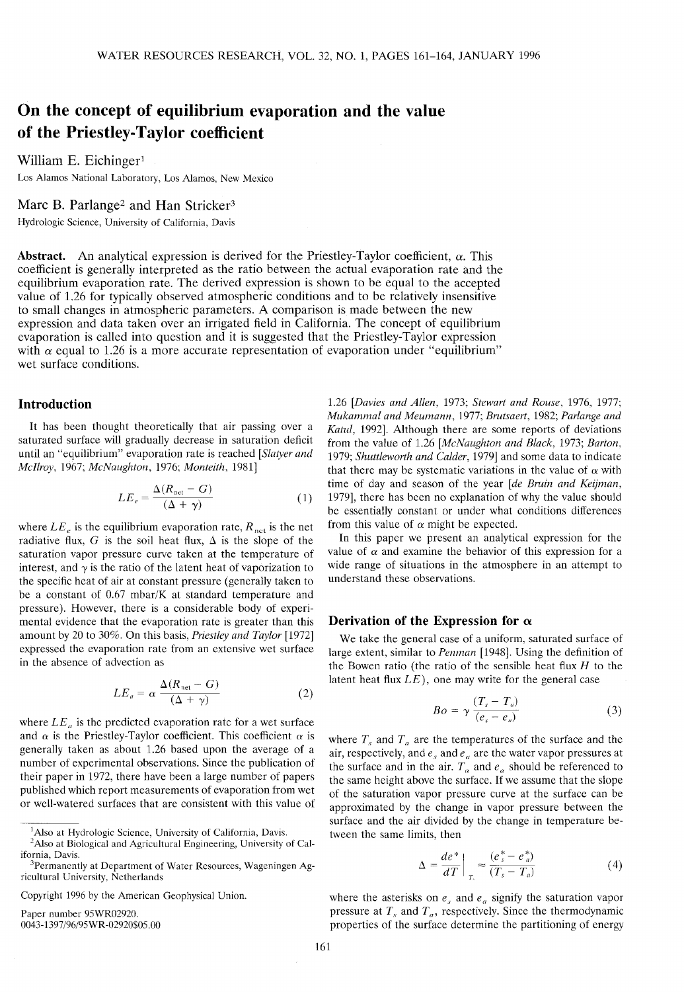# **On the concept of equilibrium evaporation and the value of the Priestley-Taylor coefficient**

William E. Eichinger<sup>1</sup>

Los Alamos National Laboratory, Los Alamos, New Mexico

## Marc B. Parlange<sup>2</sup> and Han Stricker<sup>3</sup>

Hydrologic Science, University of California, Davis

**Abstract.** An analytical expression is derived for the Priestley-Taylor coefficient,  $\alpha$ . This coefficient is generally interpreted as the ratio between the actual evaporation rate and the equilibrium evaporation rate. The derived expression is shown to be equal to the accepted value of 1.26 for typically observed atmospheric conditions and to be relatively insensitive to small changes in atmospheric parameters. A comparison is made between the new expression and data taken over an irrigated field in California. The concept of equilibrium evaporation is called into question and it is suggested that the Priestley-Taylor expression with  $\alpha$  equal to 1.26 is a more accurate representation of evaporation under "equilibrium" wet surface conditions.

#### **Introduction**

It has been thought theoretically that air passing over a saturated surface will gradually decrease in saturation deficit until an "equilibrium" evaporation rate is reached *[Slatyer and Mcllroy,* 1967; *McNaughton,* 1976; *Monteith,* 1981]

$$
LE_e = \frac{\Delta(R_{\text{net}} - G)}{(\Delta + \gamma)}\tag{1}
$$

where  $LE_e$  is the equilibrium evaporation rate,  $R_{net}$  is the net radiative flux, G is the soil heat flux,  $\Delta$  is the slope of the saturation vapor pressure curve taken at the temperature of interest, and  $\gamma$  is the ratio of the latent heat of vaporization to the specific heat of air at constant pressure (generally taken to be a constant of 0.67 mbar/K at standard temperature and pressure). However, there is a considerable body of experimental evidence that the evaporation rate is greater than this amount by 20 to 30%. On this basis, *Priestley and Taylor* [1972] expressed the evaporation rate from an extensive wet surface in the absence of advection as

$$
LE_a = \alpha \frac{\Delta(R_{\text{net}} - G)}{(\Delta + \gamma)}
$$
 (2)

where  $LE_a$  is the predicted evaporation rate for a wet surface and  $\alpha$  is the Priestley-Taylor coefficient. This coefficient  $\alpha$  is generally taken as about 1.26 based upon the average of a number of experimental observations. Since the publication of their paper in 1972, there have been a large number of papers published which report measurements of evaporation from wet or well-watered surfaces that are consistent with this value of

Paper number 95WR02920. 0043-1397/96/95WR-02920\$05.00

1.26 *[Davies and Alien,* 1973; *Stewart and Rouse,* 1976, 1977; *Mukammal and Meumann,* 1977; *Brutsaert,* 1982; *Parlange and Katul,* 1992]. Although there are some reports of deviations from the value of 1.26 *[McNaughton and Black,* 1973; *Barton,* 1979; *Shuttleworth and Calder,* 1979] and some data to indicate that there may be systematic variations in the value of  $\alpha$  with time of day and season of the year *[de Bruin and Keijman,* 1979], there has been no explanation of why the value should be essentially constant or under what conditions differences from this value of  $\alpha$  might be expected.

In this paper we present an analytical expression for the value of  $\alpha$  and examine the behavior of this expression for a wide range of situations in the atmosphere in an attempt to understand these observations.

#### **Derivation of the Expression for**  $\alpha$

We take the general case of a uniform, saturated surface of large extent, similar to *Penman* [1948]. Using the definition of the Bowen ratio (the ratio of the sensible heat flux *H* to the latent heat flux *LE),* one may write for the general case

$$
Bo = \gamma \frac{(T_s - T_a)}{(e_s - e_a)}
$$
 (3)

where  $T_s$  and  $T_a$  are the temperatures of the surface and the air, respectively, and  $e_s$  and  $e_a$  are the water vapor pressures at the surface and in the air.  $T_a$  and  $e_a$  should be referenced to the same height above the surface. If we assume that the slope of the saturation vapor pressure curve at the surface can be approximated by the change in vapor pressure between the surface and the air divided by the change in temperature between the same limits, then

$$
\Delta = \frac{de^*}{dT}\bigg|_{T} \approx \frac{(e_s^* - e_a^*)}{(T_s - T_a)}
$$
(4)

where the asterisks on  $e_s$  and  $e_a$  signify the saturation vapor pressure at  $T_s$  and  $T_a$ , respectively. Since the thermodynamic properties of the surface determine the partitioning of energy

<sup>&</sup>lt;sup>1</sup>Also at Hydrologic Science, University of California, Davis.

<sup>&</sup>lt;sup>2</sup>Also at Biological and Agricultural Engineering, University of California, Davis.

<sup>3</sup>Permanently at Department of Water Resources, Wageningen Agricultural University, Netherlands

Copyright 1996 by the American Geophysical Union.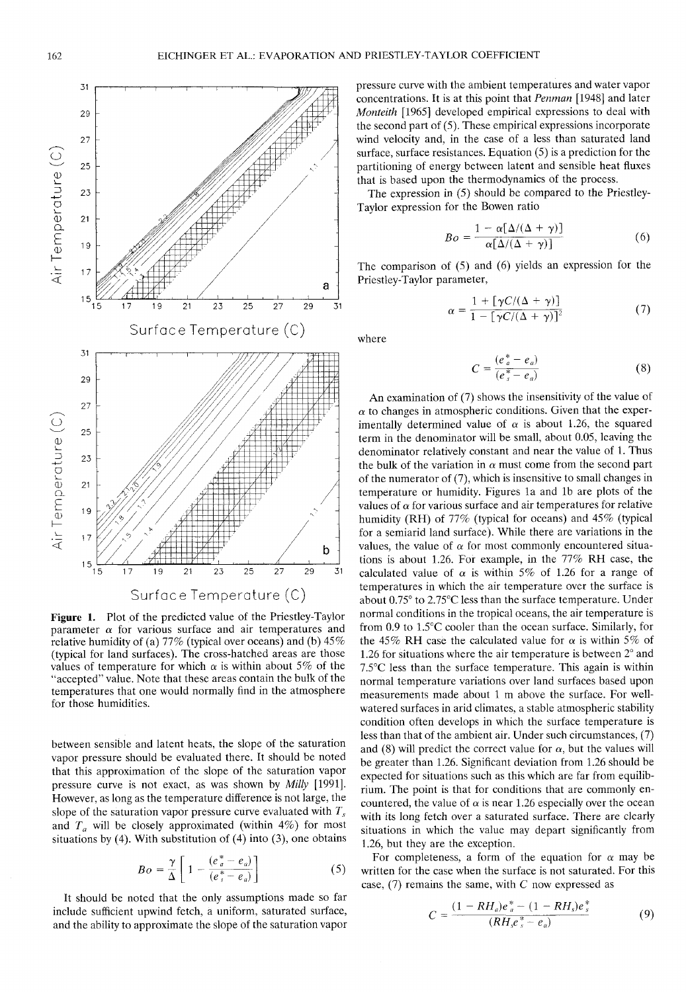

**Figure 1.** Plot of the predicted value of the Priestley-Taylor parameter  $\alpha$  for various surface and air temperatures and relative humidity of (a)  $77\%$  (typical over oceans) and (b)  $45\%$ (typical for land surfaces). The cross-hatched areas are those values of temperature for which  $\alpha$  is within about 5% of the "accepted" value. Note that these areas contain the bulk of the temperatures that one would normally find in the atmosphere for those humidities.

between sensible and latent heats, the slope of the saturation vapor pressure should be evaluated there. It should be noted that this approximation of the slope of the saturation vapor pressure curve is not exact, as was shown by *Milly* [1991]. However, as long as the temperature difference is not large, the slope of the saturation vapor pressure curve evaluated with *T<sup>s</sup>* and  $T_a$  will be closely approximated (within 4%) for most situations by (4). With substitution of (4) into (3), one obtains

$$
Bo = \frac{\gamma}{\Delta} \left[ 1 - \frac{(e_a^* - e_a)}{(e_s^* - e_a)} \right]
$$
 (5)

It should be noted that the only assumptions made so far include sufficient upwind fetch, a uniform, saturated surface, and the ability to approximate the slope of the saturation vapor pressure curve with the ambient temperatures and water vapor concentrations. It is at this point that *Penman* [1948] and later *Monteith* [1965] developed empirical expressions to deal with the second part of (5). These empirical expressions incorporate wind velocity and, in the case of a less than saturated land surface, surface resistances. Equation (5) is a prediction for the partitioning of energy between latent and sensible heat fluxes that is based upon the thermodynamics of the process.

The expression in (5) should be compared to the Priestley-Taylor expression for the Bowen ratio

$$
Bo = \frac{1 - \alpha [\Delta/(\Delta + \gamma)]}{\alpha [\Delta/(\Delta + \gamma)]}
$$
(6)

The comparison of (5) and (6) yields an expression for the Priestley-Taylor parameter,

$$
\alpha = \frac{1 + [\gamma C/(\Delta + \gamma)]}{1 - [\gamma C/(\Delta + \gamma)]^2}
$$
(7)

where

$$
C = \frac{(e_a^* - e_a)}{(e_s^* - e_a)}\tag{8}
$$

An examination of (7) shows the insensitivity of the value of  $\alpha$  to changes in atmospheric conditions. Given that the experimentally determined value of  $\alpha$  is about 1.26, the squared term in the denominator will be small, about 0.05, leaving the denominator relatively constant and near the value of 1. Thus the bulk of the variation in  $\alpha$  must come from the second part of the numerator of (7), which is insensitive to small changes in temperature or humidity. Figures la and Ib are plots of the values of  $\alpha$  for various surface and air temperatures for relative humidity (RH) of 77% (typical for oceans) and 45% (typical for a semiarid land surface). While there are variations in the values, the value of  $\alpha$  for most commonly encountered situations is about 1.26. For example, in the 77% RH case, the calculated value of  $\alpha$  is within 5% of 1.26 for a range of temperatures in which the air temperature over the surface is about 0.75° to 2.75°C less than the surface temperature. Under normal conditions in the tropical oceans, the air temperature is from 0.9 to 1.5°C cooler than the ocean surface. Similarly, for the 45% RH case the calculated value for  $\alpha$  is within 5% of 1.26 for situations where the air temperature is between 2° and 7.5°C less than the surface temperature. This again is within normal temperature variations over land surfaces based upon measurements made about 1 m above the surface. For wellwatered surfaces in arid climates, a stable atmospheric stability condition often develops in which the surface temperature is less than that of the ambient air. Under such circumstances, (7) and (8) will predict the correct value for  $\alpha$ , but the values will be greater than 1.26. Significant deviation from 1.26 should be expected for situations such as this which are far from equilibrium. The point is that for conditions that are commonly encountered, the value of  $\alpha$  is near 1.26 especially over the ocean with its long fetch over a saturated surface. There are clearly situations in which the value may depart significantly from 1.26, but they are the exception.

For completeness, a form of the equation for  $\alpha$  may be written for the case when the surface is not saturated. For this case, (7) remains the same, with *C* now expressed as

$$
C = \frac{(1 - RH_a)e_a^* - (1 - RH_s)e_s^*}{(RH_s e_s^* - e_a)}
$$
(9)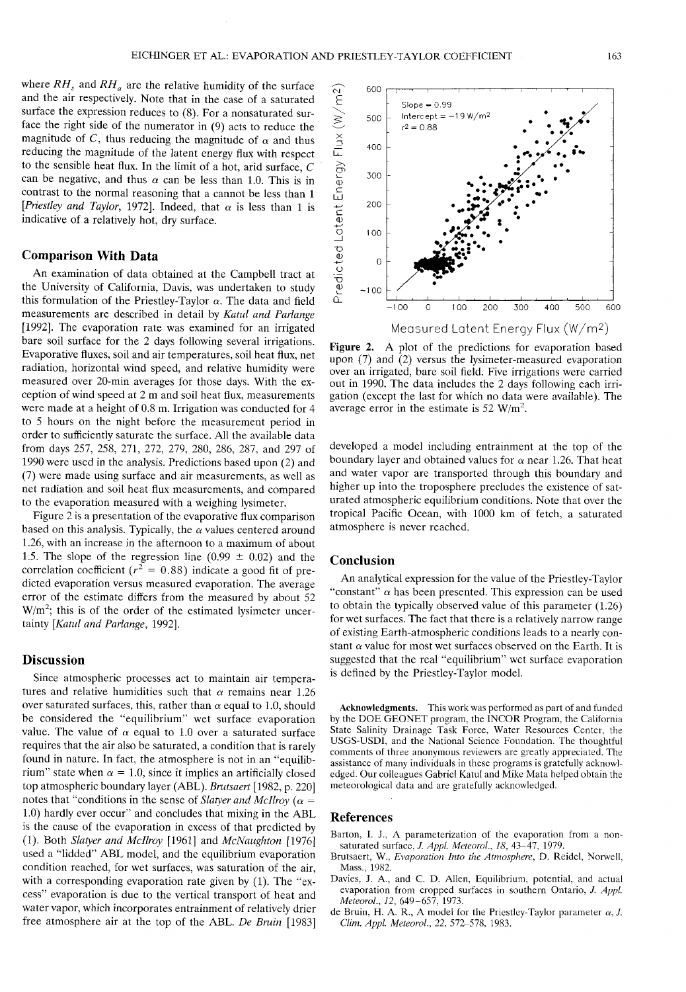**CM** E

600

500

 $Slope = 0.99$ Intercept =  $-19 W/m^2$ 

where  $RH_s$  and  $RH_a$  are the relative humidity of the surface and the air respectively. Note that in the case of a saturated surface the expression reduces to (8). For a nonsaturated surface the right side of the numerator in (9) acts to reduce the magnitude of C, thus reducing the magnitude of  $\alpha$  and thus reducing the magnitude of the latent energy flux with respect to the sensible heat flux. In the limit of a hot, arid surface, *C* can be negative, and thus  $\alpha$  can be less than 1.0. This is in contrast to the normal reasoning that a cannot be less than 1 *[Priestley and Taylor, 1972]*. Indeed, that  $\alpha$  is less than 1 is indicative of a relatively hot, dry surface.

### **Comparison With Data**

An examination of data obtained at the Campbell tract at the University of California, Davis, was undertaken to study this formulation of the Priestley-Taylor  $\alpha$ . The data and field measurements are described in detail by *Katul and Parlange* [1992]. The evaporation rate was examined for an irrigated bare soil surface for the 2 days following several irrigations. Evaporative fluxes, soil and air temperatures, soil heat flux, net radiation, horizontal wind speed, and relative humidity were measured over 20-min averages for those days. With the exception of wind speed at 2 m and soil heat flux, measurements were made at a height of 0.8 m. Irrigation was conducted for 4 to 5 hours on the night before the measurement period in order to sufficiently saturate the surface. All the available data from days 257, 258, 271, 272, 279, 280, 286, 287, and 297 of 1990 were used in the analysis. Predictions based upon (2) and (7) were made using surface and air measurements, as well as net radiation and soil heat flux measurements, and compared to the evaporation measured with a weighing lysimeter.

Figure 2 is a presentation of the evaporative flux comparison based on this analysis. Typically, the  $\alpha$  values centered around 1.26, with an increase in the afternoon to a maximum of about 1.5. The slope of the regression line (0.99  $\pm$  0.02) and the correlation coefficient ( $r^2 = 0.88$ ) indicate a good fit of predicted evaporation versus measured evaporation. The average error of the estimate differs from the measured by about 52  $W/m<sup>2</sup>$ ; this is of the order of the estimated lysimeter uncertainty *[Katul and Parlange,* 1992].

#### **Discussion**

Since atmospheric processes act to maintain air temperatures and relative humidities such that  $\alpha$  remains near 1.26 over saturated surfaces, this, rather than  $\alpha$  equal to 1.0, should be considered the "equilibrium" wet surface evaporation value. The value of  $\alpha$  equal to 1.0 over a saturated surface requires that the air also be saturated, a condition that is rarely found in nature. In fact, the atmosphere is not in an "equilibrium" state when  $\alpha = 1.0$ , since it implies an artificially closed top atmospheric boundary layer (ABL). *Brutsaert* [1982, p. 220] notes that "conditions in the sense of *Slatyer and McIlroy* ( $\alpha$  = 1.0) hardly ever occur" and concludes that mixing in the ABL is the cause of the evaporation in excess of that predicted by (1). Both *Slatyer and Mcllroy* [1961] and *McNaughton* [1976] used a "lidded" ABL model, and the equilibrium evaporation condition reached, for wet surfaces, was saturation of the air, with a corresponding evaporation rate given by (1). The "excess" evaporation is due to the vertical transport of heat and water vapor, which incorporates entrainment of relatively drier free atmosphere air at the top of the ABL. *De Bruin* [1983]



**Figure** 2. A plot of the predictions for evaporation based upon (7) and  $(2)$  versus the lysimeter-measured evaporation over an irrigated, bare soil field. Five irrigations were carried out in 1990. The data includes the 2 days following each irrigation (except the last for which no data were available). The average error in the estimate is 52  $W/m^2$ .

developed a model including entrainment at the top of the boundary layer and obtained values for  $\alpha$  near 1.26. That heat and water vapor are transported through this boundary and higher up into the troposphere precludes the existence of saturated atmospheric equilibrium conditions. Note that over the tropical Pacific Ocean, with 1000 km of fetch, a saturated atmosphere is never reached.

## **Conclusion**

An analytical expression for the value of the Priestley-Taylor "constant"  $\alpha$  has been presented. This expression can be used to obtain the typically observed value of this parameter (1.26) for wet surfaces. The fact that there is a relatively narrow range of existing Earth-atmospheric conditions leads to a nearly constant  $\alpha$  value for most wet surfaces observed on the Earth. It is suggested that the real "equilibrium" wet surface evaporation is defined by the Priestley-Taylor model.

**Acknowledgments.** This work was performed as part of and funded by the DOE GEONET program, the INCOR Program, the California State Salinity Drainage Task Force, Water Resources Center, the USGS-USDI, and the National Science Foundation. The thoughtful comments of three anonymous reviewers are greatly appreciated. The assistance of many individuals in these programs is gratefully acknowledged. Our colleagues Gabriel Katul and Mike Mata helped obtain the meteorological data and are gratefully acknowledged.

#### **References**

- Barton, I. J., A parameterization of the evaporation from a nonsaturated surface, *J. Appl. Meteorol., 18,* 43-47, 1979.
- Brutsaert, W., *Evaporation Into the Atmosphere,* D. Reidel, Norwell, Mass., 1982.
- Davies, J. A., and C. D. Alien, Equilibrium, potential, and actual evaporation from cropped surfaces in southern Ontario, /. *Appl Meteorol., 12,* 649-657, 1973.
- de Bruin, H. A. R., A model for the Priestley-Taylor parameter  $\alpha$ , *J. Clim. Appl. Meteorol., 22,* 572-578, 1983.